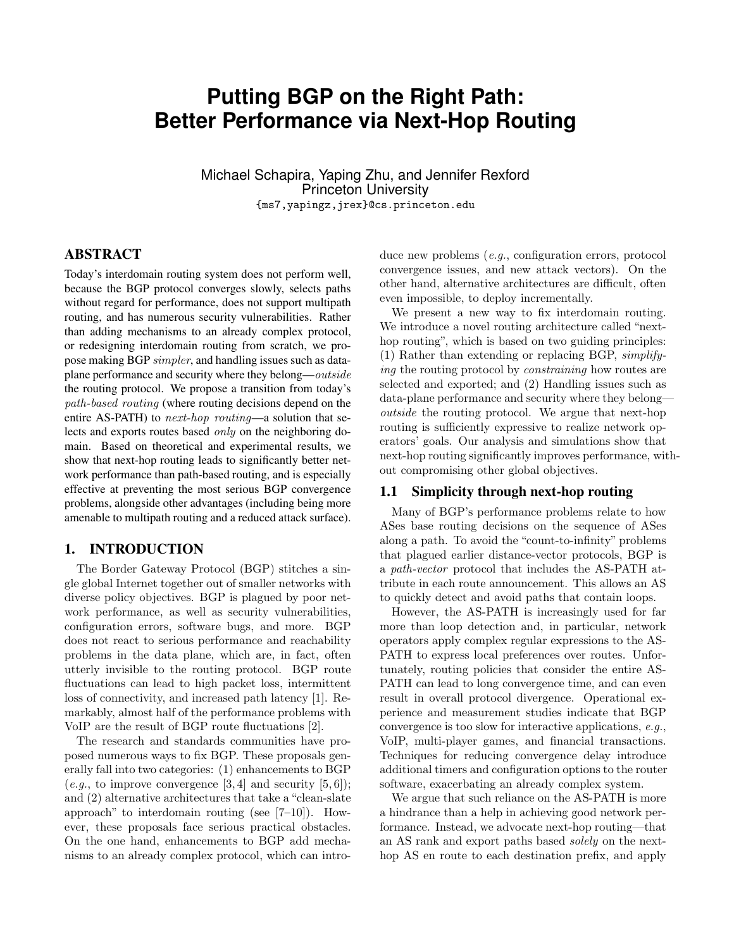# **Putting BGP on the Right Path: Better Performance via Next-Hop Routing**

Michael Schapira, Yaping Zhu, and Jennifer Rexford Princeton University {ms7,yapingz,jrex}@cs.princeton.edu

# ABSTRACT

Today's interdomain routing system does not perform well, because the BGP protocol converges slowly, selects paths without regard for performance, does not support multipath routing, and has numerous security vulnerabilities. Rather than adding mechanisms to an already complex protocol, or redesigning interdomain routing from scratch, we propose making BGP simpler, and handling issues such as dataplane performance and security where they belong—outside the routing protocol. We propose a transition from today's path-based routing (where routing decisions depend on the entire AS-PATH) to *next-hop routing*—a solution that selects and exports routes based only on the neighboring domain. Based on theoretical and experimental results, we show that next-hop routing leads to significantly better network performance than path-based routing, and is especially effective at preventing the most serious BGP convergence problems, alongside other advantages (including being more amenable to multipath routing and a reduced attack surface).

# 1. INTRODUCTION

The Border Gateway Protocol (BGP) stitches a single global Internet together out of smaller networks with diverse policy objectives. BGP is plagued by poor network performance, as well as security vulnerabilities, configuration errors, software bugs, and more. BGP does not react to serious performance and reachability problems in the data plane, which are, in fact, often utterly invisible to the routing protocol. BGP route fluctuations can lead to high packet loss, intermittent loss of connectivity, and increased path latency [1]. Remarkably, almost half of the performance problems with VoIP are the result of BGP route fluctuations [2].

The research and standards communities have proposed numerous ways to fix BGP. These proposals generally fall into two categories: (1) enhancements to BGP  $(e.g., to improve convergence [3, 4] and security [5, 6]);$ and (2) alternative architectures that take a "clean-slate approach" to interdomain routing (see [7–10]). However, these proposals face serious practical obstacles. On the one hand, enhancements to BGP add mechanisms to an already complex protocol, which can introduce new problems (e.g., configuration errors, protocol convergence issues, and new attack vectors). On the other hand, alternative architectures are difficult, often even impossible, to deploy incrementally.

We present a new way to fix interdomain routing. We introduce a novel routing architecture called "nexthop routing", which is based on two guiding principles: (1) Rather than extending or replacing BGP, simplifying the routing protocol by constraining how routes are selected and exported; and (2) Handling issues such as data-plane performance and security where they belong outside the routing protocol. We argue that next-hop routing is sufficiently expressive to realize network operators' goals. Our analysis and simulations show that next-hop routing significantly improves performance, without compromising other global objectives.

#### 1.1 Simplicity through next-hop routing

Many of BGP's performance problems relate to how ASes base routing decisions on the sequence of ASes along a path. To avoid the "count-to-infinity" problems that plagued earlier distance-vector protocols, BGP is a path-vector protocol that includes the AS-PATH attribute in each route announcement. This allows an AS to quickly detect and avoid paths that contain loops.

However, the AS-PATH is increasingly used for far more than loop detection and, in particular, network operators apply complex regular expressions to the AS-PATH to express local preferences over routes. Unfortunately, routing policies that consider the entire AS-PATH can lead to long convergence time, and can even result in overall protocol divergence. Operational experience and measurement studies indicate that BGP convergence is too slow for interactive applications, e.g., VoIP, multi-player games, and financial transactions. Techniques for reducing convergence delay introduce additional timers and configuration options to the router software, exacerbating an already complex system.

We argue that such reliance on the AS-PATH is more a hindrance than a help in achieving good network performance. Instead, we advocate next-hop routing—that an AS rank and export paths based solely on the nexthop AS en route to each destination prefix, and apply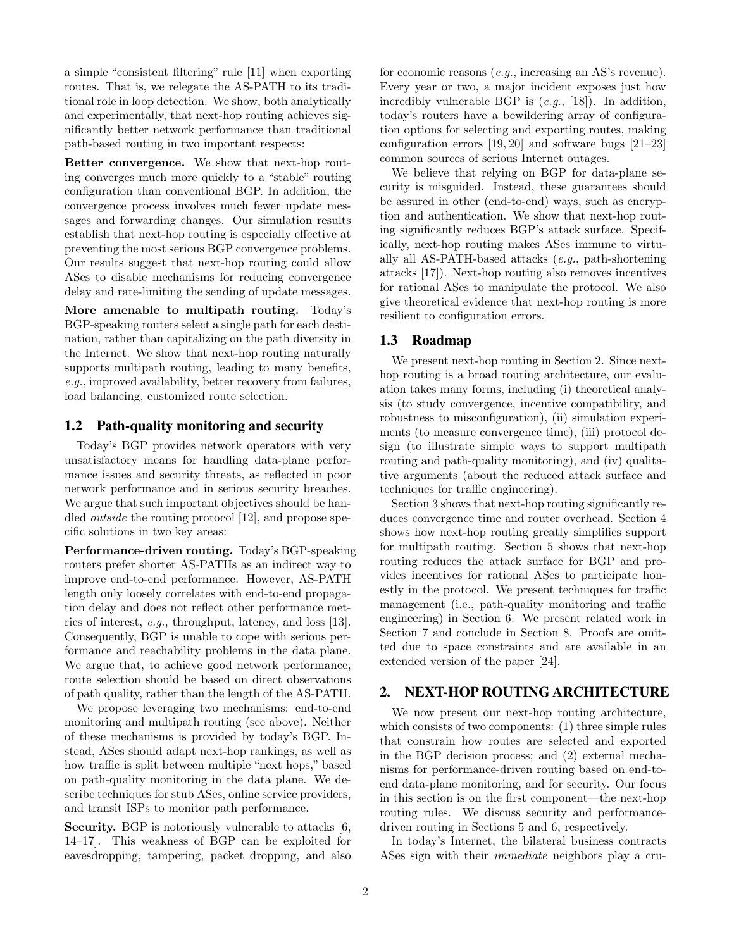a simple "consistent filtering" rule [11] when exporting routes. That is, we relegate the AS-PATH to its traditional role in loop detection. We show, both analytically and experimentally, that next-hop routing achieves significantly better network performance than traditional path-based routing in two important respects:

Better convergence. We show that next-hop routing converges much more quickly to a "stable" routing configuration than conventional BGP. In addition, the convergence process involves much fewer update messages and forwarding changes. Our simulation results establish that next-hop routing is especially effective at preventing the most serious BGP convergence problems. Our results suggest that next-hop routing could allow ASes to disable mechanisms for reducing convergence delay and rate-limiting the sending of update messages.

More amenable to multipath routing. Today's BGP-speaking routers select a single path for each destination, rather than capitalizing on the path diversity in the Internet. We show that next-hop routing naturally supports multipath routing, leading to many benefits, e.g., improved availability, better recovery from failures, load balancing, customized route selection.

## 1.2 Path-quality monitoring and security

Today's BGP provides network operators with very unsatisfactory means for handling data-plane performance issues and security threats, as reflected in poor network performance and in serious security breaches. We argue that such important objectives should be handled outside the routing protocol [12], and propose specific solutions in two key areas:

Performance-driven routing. Today's BGP-speaking routers prefer shorter AS-PATHs as an indirect way to improve end-to-end performance. However, AS-PATH length only loosely correlates with end-to-end propagation delay and does not reflect other performance metrics of interest, e.g., throughput, latency, and loss [13]. Consequently, BGP is unable to cope with serious performance and reachability problems in the data plane. We argue that, to achieve good network performance, route selection should be based on direct observations of path quality, rather than the length of the AS-PATH.

We propose leveraging two mechanisms: end-to-end monitoring and multipath routing (see above). Neither of these mechanisms is provided by today's BGP. Instead, ASes should adapt next-hop rankings, as well as how traffic is split between multiple "next hops," based on path-quality monitoring in the data plane. We describe techniques for stub ASes, online service providers, and transit ISPs to monitor path performance.

Security. BGP is notoriously vulnerable to attacks [6, 14–17]. This weakness of BGP can be exploited for eavesdropping, tampering, packet dropping, and also for economic reasons (e.g., increasing an AS's revenue). Every year or two, a major incident exposes just how incredibly vulnerable BGP is  $(e.g., [18])$ . In addition, today's routers have a bewildering array of configuration options for selecting and exporting routes, making configuration errors [19, 20] and software bugs [21–23] common sources of serious Internet outages.

We believe that relying on BGP for data-plane security is misguided. Instead, these guarantees should be assured in other (end-to-end) ways, such as encryption and authentication. We show that next-hop routing significantly reduces BGP's attack surface. Specifically, next-hop routing makes ASes immune to virtually all AS-PATH-based attacks (e.g., path-shortening attacks [17]). Next-hop routing also removes incentives for rational ASes to manipulate the protocol. We also give theoretical evidence that next-hop routing is more resilient to configuration errors.

## 1.3 Roadmap

We present next-hop routing in Section 2. Since nexthop routing is a broad routing architecture, our evaluation takes many forms, including (i) theoretical analysis (to study convergence, incentive compatibility, and robustness to misconfiguration), (ii) simulation experiments (to measure convergence time), (iii) protocol design (to illustrate simple ways to support multipath routing and path-quality monitoring), and (iv) qualitative arguments (about the reduced attack surface and techniques for traffic engineering).

Section 3 shows that next-hop routing significantly reduces convergence time and router overhead. Section 4 shows how next-hop routing greatly simplifies support for multipath routing. Section 5 shows that next-hop routing reduces the attack surface for BGP and provides incentives for rational ASes to participate honestly in the protocol. We present techniques for traffic management (i.e., path-quality monitoring and traffic engineering) in Section 6. We present related work in Section 7 and conclude in Section 8. Proofs are omitted due to space constraints and are available in an extended version of the paper [24].

## 2. NEXT-HOP ROUTING ARCHITECTURE

We now present our next-hop routing architecture, which consists of two components: (1) three simple rules that constrain how routes are selected and exported in the BGP decision process; and (2) external mechanisms for performance-driven routing based on end-toend data-plane monitoring, and for security. Our focus in this section is on the first component—the next-hop routing rules. We discuss security and performancedriven routing in Sections 5 and 6, respectively.

In today's Internet, the bilateral business contracts ASes sign with their immediate neighbors play a cru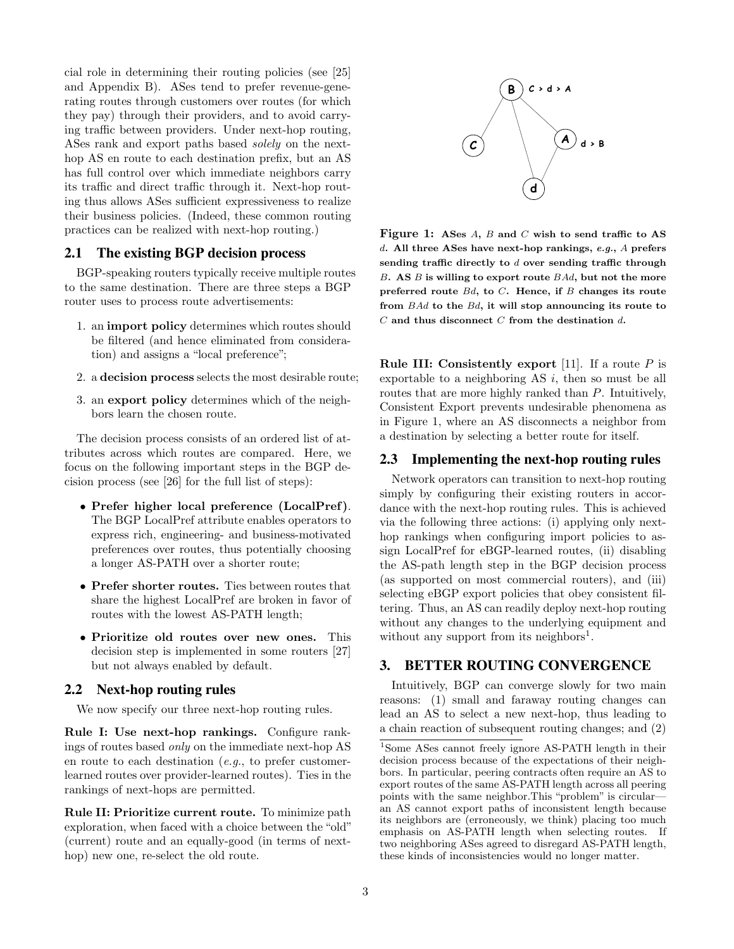cial role in determining their routing policies (see [25] and Appendix B). ASes tend to prefer revenue-generating routes through customers over routes (for which they pay) through their providers, and to avoid carrying traffic between providers. Under next-hop routing, ASes rank and export paths based solely on the nexthop AS en route to each destination prefix, but an AS has full control over which immediate neighbors carry its traffic and direct traffic through it. Next-hop routing thus allows ASes sufficient expressiveness to realize their business policies. (Indeed, these common routing practices can be realized with next-hop routing.)

# 2.1 The existing BGP decision process

BGP-speaking routers typically receive multiple routes to the same destination. There are three steps a BGP router uses to process route advertisements:

- 1. an import policy determines which routes should be filtered (and hence eliminated from consideration) and assigns a "local preference";
- 2. a decision process selects the most desirable route;
- 3. an export policy determines which of the neighbors learn the chosen route.

The decision process consists of an ordered list of attributes across which routes are compared. Here, we focus on the following important steps in the BGP decision process (see [26] for the full list of steps):

- Prefer higher local preference (LocalPref). The BGP LocalPref attribute enables operators to express rich, engineering- and business-motivated preferences over routes, thus potentially choosing a longer AS-PATH over a shorter route;
- Prefer shorter routes. Ties between routes that share the highest LocalPref are broken in favor of routes with the lowest AS-PATH length;
- Prioritize old routes over new ones. This decision step is implemented in some routers [27] but not always enabled by default.

#### 2.2 Next-hop routing rules

We now specify our three next-hop routing rules.

Rule I: Use next-hop rankings. Configure rankings of routes based only on the immediate next-hop AS en route to each destination  $(e.g., to prefer customer$ learned routes over provider-learned routes). Ties in the rankings of next-hops are permitted.

Rule II: Prioritize current route. To minimize path exploration, when faced with a choice between the "old" (current) route and an equally-good (in terms of nexthop) new one, re-select the old route.



Figure 1: ASes A, B and C wish to send traffic to AS d. All three ASes have next-hop rankings, e.g., A prefers sending traffic directly to d over sending traffic through  $B.$  AS  $B$  is willing to export route  $BAd$ , but not the more preferred route  $Bd$ , to  $C$ . Hence, if  $B$  changes its route from BAd to the Bd, it will stop announcing its route to  $C$  and thus disconnect  $C$  from the destination  $d$ .

**Rule III:** Consistently export [11]. If a route  $P$  is exportable to a neighboring  $AS$  i, then so must be all routes that are more highly ranked than P. Intuitively, Consistent Export prevents undesirable phenomena as in Figure 1, where an AS disconnects a neighbor from a destination by selecting a better route for itself.

#### 2.3 Implementing the next-hop routing rules

Network operators can transition to next-hop routing simply by configuring their existing routers in accordance with the next-hop routing rules. This is achieved via the following three actions: (i) applying only nexthop rankings when configuring import policies to assign LocalPref for eBGP-learned routes, (ii) disabling the AS-path length step in the BGP decision process (as supported on most commercial routers), and (iii) selecting eBGP export policies that obey consistent filtering. Thus, an AS can readily deploy next-hop routing without any changes to the underlying equipment and without any support from its neighbors<sup>1</sup>.

# 3. BETTER ROUTING CONVERGENCE

Intuitively, BGP can converge slowly for two main reasons: (1) small and faraway routing changes can lead an AS to select a new next-hop, thus leading to a chain reaction of subsequent routing changes; and (2)

<sup>&</sup>lt;sup>1</sup>Some ASes cannot freely ignore AS-PATH length in their decision process because of the expectations of their neighbors. In particular, peering contracts often require an AS to export routes of the same AS-PATH length across all peering points with the same neighbor.This "problem" is circular an AS cannot export paths of inconsistent length because its neighbors are (erroneously, we think) placing too much emphasis on AS-PATH length when selecting routes. If two neighboring ASes agreed to disregard AS-PATH length, these kinds of inconsistencies would no longer matter.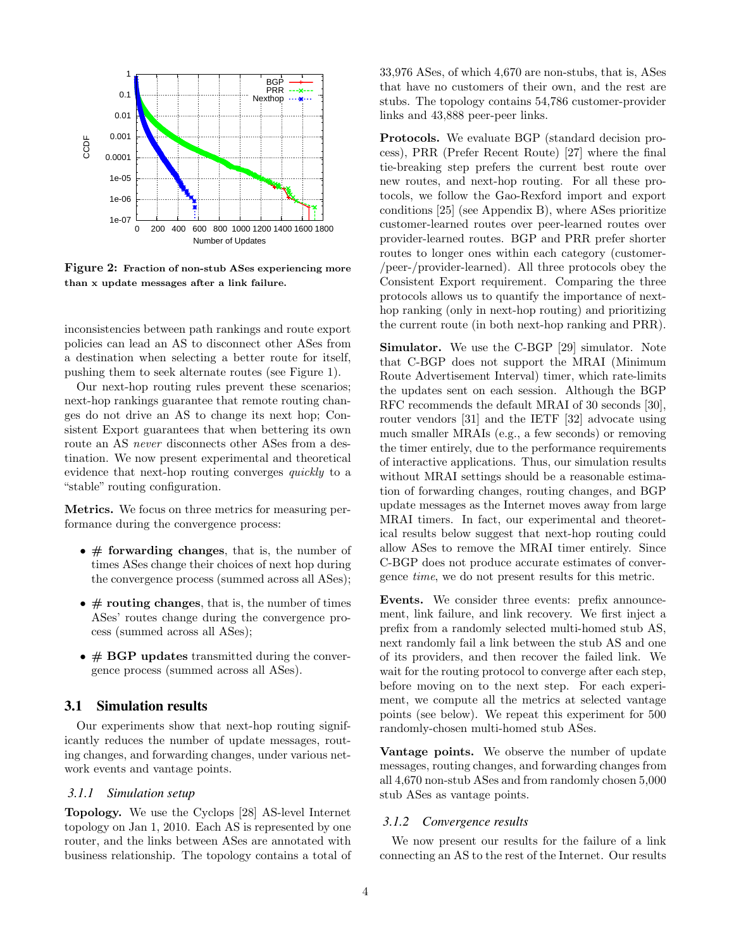

Figure 2: Fraction of non-stub ASes experiencing more than x update messages after a link failure.

inconsistencies between path rankings and route export policies can lead an AS to disconnect other ASes from a destination when selecting a better route for itself, pushing them to seek alternate routes (see Figure 1).

Our next-hop routing rules prevent these scenarios; next-hop rankings guarantee that remote routing changes do not drive an AS to change its next hop; Consistent Export guarantees that when bettering its own route an AS *never* disconnects other ASes from a destination. We now present experimental and theoretical evidence that next-hop routing converges quickly to a "stable" routing configuration.

Metrics. We focus on three metrics for measuring performance during the convergence process:

- $\bullet \#$  forwarding changes, that is, the number of times ASes change their choices of next hop during the convergence process (summed across all ASes);
- $\bullet \#$  routing changes, that is, the number of times ASes' routes change during the convergence process (summed across all ASes);
- $\bullet \# BGP$  updates transmitted during the convergence process (summed across all ASes).

# 3.1 Simulation results

Our experiments show that next-hop routing significantly reduces the number of update messages, routing changes, and forwarding changes, under various network events and vantage points.

#### *3.1.1 Simulation setup*

Topology. We use the Cyclops [28] AS-level Internet topology on Jan 1, 2010. Each AS is represented by one router, and the links between ASes are annotated with business relationship. The topology contains a total of 33,976 ASes, of which 4,670 are non-stubs, that is, ASes that have no customers of their own, and the rest are stubs. The topology contains 54,786 customer-provider links and 43,888 peer-peer links.

Protocols. We evaluate BGP (standard decision process), PRR (Prefer Recent Route) [27] where the final tie-breaking step prefers the current best route over new routes, and next-hop routing. For all these protocols, we follow the Gao-Rexford import and export conditions [25] (see Appendix B), where ASes prioritize customer-learned routes over peer-learned routes over provider-learned routes. BGP and PRR prefer shorter routes to longer ones within each category (customer- /peer-/provider-learned). All three protocols obey the Consistent Export requirement. Comparing the three protocols allows us to quantify the importance of nexthop ranking (only in next-hop routing) and prioritizing the current route (in both next-hop ranking and PRR).

Simulator. We use the C-BGP [29] simulator. Note that C-BGP does not support the MRAI (Minimum Route Advertisement Interval) timer, which rate-limits the updates sent on each session. Although the BGP RFC recommends the default MRAI of 30 seconds [30], router vendors [31] and the IETF [32] advocate using much smaller MRAIs (e.g., a few seconds) or removing the timer entirely, due to the performance requirements of interactive applications. Thus, our simulation results without MRAI settings should be a reasonable estimation of forwarding changes, routing changes, and BGP update messages as the Internet moves away from large MRAI timers. In fact, our experimental and theoretical results below suggest that next-hop routing could allow ASes to remove the MRAI timer entirely. Since C-BGP does not produce accurate estimates of convergence time, we do not present results for this metric.

Events. We consider three events: prefix announcement, link failure, and link recovery. We first inject a prefix from a randomly selected multi-homed stub AS, next randomly fail a link between the stub AS and one of its providers, and then recover the failed link. We wait for the routing protocol to converge after each step, before moving on to the next step. For each experiment, we compute all the metrics at selected vantage points (see below). We repeat this experiment for 500 randomly-chosen multi-homed stub ASes.

Vantage points. We observe the number of update messages, routing changes, and forwarding changes from all 4,670 non-stub ASes and from randomly chosen 5,000 stub ASes as vantage points.

#### *3.1.2 Convergence results*

We now present our results for the failure of a link connecting an AS to the rest of the Internet. Our results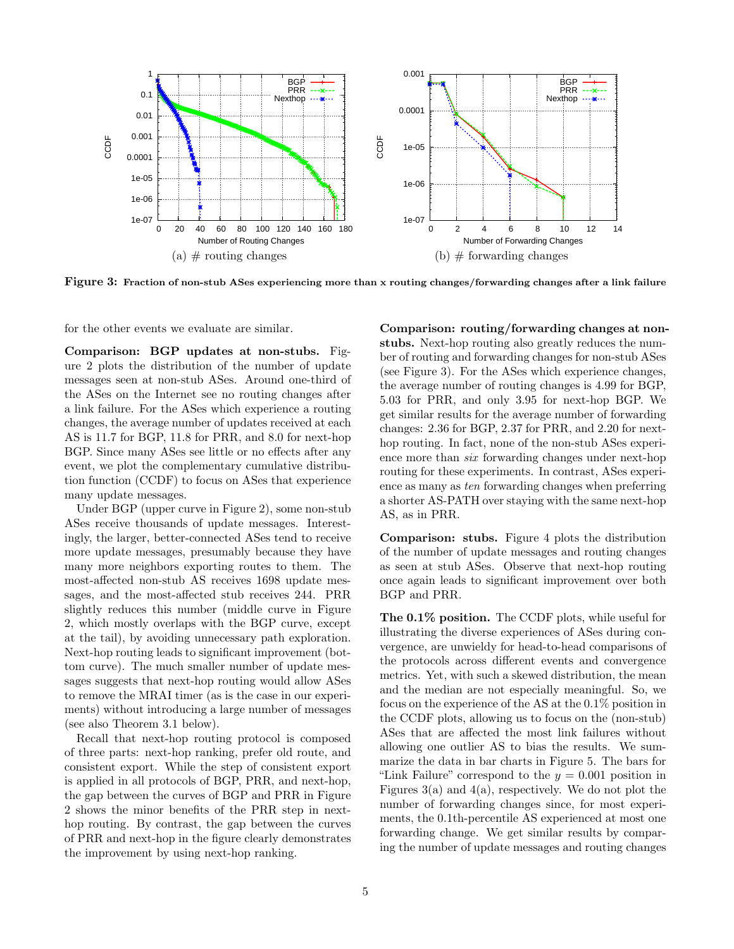

Figure 3: Fraction of non-stub ASes experiencing more than x routing changes/forwarding changes after a link failure

for the other events we evaluate are similar.

Comparison: BGP updates at non-stubs. Figure 2 plots the distribution of the number of update messages seen at non-stub ASes. Around one-third of the ASes on the Internet see no routing changes after a link failure. For the ASes which experience a routing changes, the average number of updates received at each AS is 11.7 for BGP, 11.8 for PRR, and 8.0 for next-hop BGP. Since many ASes see little or no effects after any event, we plot the complementary cumulative distribution function (CCDF) to focus on ASes that experience many update messages.

Under BGP (upper curve in Figure 2), some non-stub ASes receive thousands of update messages. Interestingly, the larger, better-connected ASes tend to receive more update messages, presumably because they have many more neighbors exporting routes to them. The most-affected non-stub AS receives 1698 update messages, and the most-affected stub receives 244. PRR slightly reduces this number (middle curve in Figure 2, which mostly overlaps with the BGP curve, except at the tail), by avoiding unnecessary path exploration. Next-hop routing leads to significant improvement (bottom curve). The much smaller number of update messages suggests that next-hop routing would allow ASes to remove the MRAI timer (as is the case in our experiments) without introducing a large number of messages (see also Theorem 3.1 below).

Recall that next-hop routing protocol is composed of three parts: next-hop ranking, prefer old route, and consistent export. While the step of consistent export is applied in all protocols of BGP, PRR, and next-hop, the gap between the curves of BGP and PRR in Figure 2 shows the minor benefits of the PRR step in nexthop routing. By contrast, the gap between the curves of PRR and next-hop in the figure clearly demonstrates the improvement by using next-hop ranking.

Comparison: routing/forwarding changes at nonstubs. Next-hop routing also greatly reduces the number of routing and forwarding changes for non-stub ASes (see Figure 3). For the ASes which experience changes, the average number of routing changes is 4.99 for BGP, 5.03 for PRR, and only 3.95 for next-hop BGP. We get similar results for the average number of forwarding changes: 2.36 for BGP, 2.37 for PRR, and 2.20 for nexthop routing. In fact, none of the non-stub ASes experience more than six forwarding changes under next-hop routing for these experiments. In contrast, ASes experience as many as ten forwarding changes when preferring a shorter AS-PATH over staying with the same next-hop AS, as in PRR.

Comparison: stubs. Figure 4 plots the distribution of the number of update messages and routing changes as seen at stub ASes. Observe that next-hop routing once again leads to significant improvement over both BGP and PRR.

The 0.1% position. The CCDF plots, while useful for illustrating the diverse experiences of ASes during convergence, are unwieldy for head-to-head comparisons of the protocols across different events and convergence metrics. Yet, with such a skewed distribution, the mean and the median are not especially meaningful. So, we focus on the experience of the AS at the 0.1% position in the CCDF plots, allowing us to focus on the (non-stub) ASes that are affected the most link failures without allowing one outlier AS to bias the results. We summarize the data in bar charts in Figure 5. The bars for "Link Failure" correspond to the  $y = 0.001$  position in Figures  $3(a)$  and  $4(a)$ , respectively. We do not plot the number of forwarding changes since, for most experiments, the 0.1th-percentile AS experienced at most one forwarding change. We get similar results by comparing the number of update messages and routing changes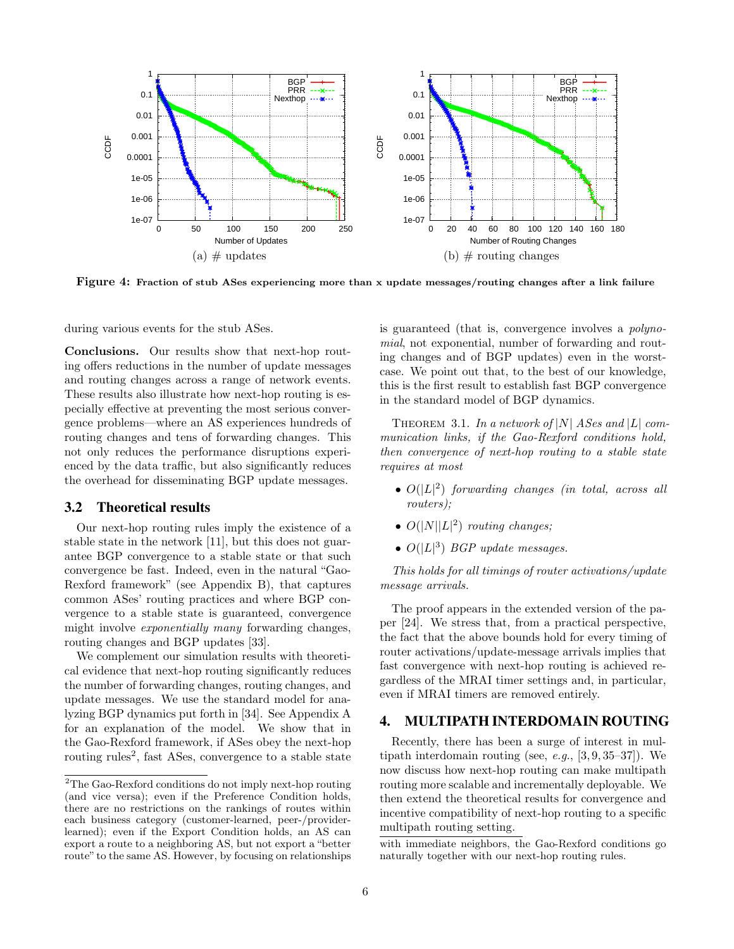

Figure 4: Fraction of stub ASes experiencing more than x update messages/routing changes after a link failure

during various events for the stub ASes.

Conclusions. Our results show that next-hop routing offers reductions in the number of update messages and routing changes across a range of network events. These results also illustrate how next-hop routing is especially effective at preventing the most serious convergence problems—where an AS experiences hundreds of routing changes and tens of forwarding changes. This not only reduces the performance disruptions experienced by the data traffic, but also significantly reduces the overhead for disseminating BGP update messages.

#### 3.2 Theoretical results

Our next-hop routing rules imply the existence of a stable state in the network [11], but this does not guarantee BGP convergence to a stable state or that such convergence be fast. Indeed, even in the natural "Gao-Rexford framework" (see Appendix B), that captures common ASes' routing practices and where BGP convergence to a stable state is guaranteed, convergence might involve exponentially many forwarding changes, routing changes and BGP updates [33].

We complement our simulation results with theoretical evidence that next-hop routing significantly reduces the number of forwarding changes, routing changes, and update messages. We use the standard model for analyzing BGP dynamics put forth in [34]. See Appendix A for an explanation of the model. We show that in the Gao-Rexford framework, if ASes obey the next-hop routing rules<sup>2</sup>, fast ASes, convergence to a stable state

is guaranteed (that is, convergence involves a polynomial, not exponential, number of forwarding and routing changes and of BGP updates) even in the worstcase. We point out that, to the best of our knowledge, this is the first result to establish fast BGP convergence in the standard model of BGP dynamics.

THEOREM 3.1. In a network of  $|N|$  ASes and  $|L|$  communication links, if the Gao-Rexford conditions hold, then convergence of next-hop routing to a stable state requires at most

- $\bullet$   $O(|L|^2)$  forwarding changes (in total, across all routers);
- $O(|N||L|^2)$  routing changes;
- $O(|L|^3)$  BGP update messages.

This holds for all timings of router activations/update message arrivals.

The proof appears in the extended version of the paper [24]. We stress that, from a practical perspective, the fact that the above bounds hold for every timing of router activations/update-message arrivals implies that fast convergence with next-hop routing is achieved regardless of the MRAI timer settings and, in particular, even if MRAI timers are removed entirely.

# 4. MULTIPATH INTERDOMAIN ROUTING

Recently, there has been a surge of interest in multipath interdomain routing (see, e.g.,  $[3, 9, 35-37]$ ). We now discuss how next-hop routing can make multipath routing more scalable and incrementally deployable. We then extend the theoretical results for convergence and incentive compatibility of next-hop routing to a specific multipath routing setting.

 $\rm{^2The}$  Gao-Rexford conditions do not imply next-hop routing (and vice versa); even if the Preference Condition holds, there are no restrictions on the rankings of routes within each business category (customer-learned, peer-/providerlearned); even if the Export Condition holds, an AS can export a route to a neighboring AS, but not export a "better route" to the same AS. However, by focusing on relationships

with immediate neighbors, the Gao-Rexford conditions go naturally together with our next-hop routing rules.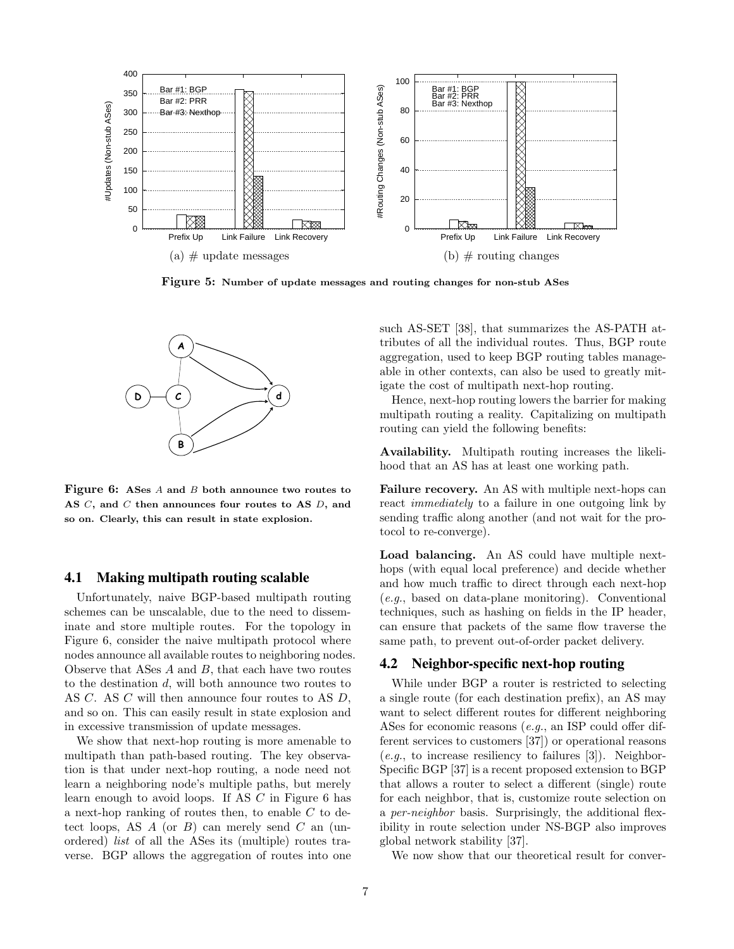

Figure 5: Number of update messages and routing changes for non-stub ASes



Figure 6: ASes A and B both announce two routes to AS C, and C then announces four routes to AS D, and so on. Clearly, this can result in state explosion.

#### 4.1 Making multipath routing scalable

Unfortunately, naive BGP-based multipath routing schemes can be unscalable, due to the need to disseminate and store multiple routes. For the topology in Figure 6, consider the naive multipath protocol where nodes announce all available routes to neighboring nodes. Observe that ASes A and B, that each have two routes to the destination d, will both announce two routes to AS C. AS C will then announce four routes to AS D, and so on. This can easily result in state explosion and in excessive transmission of update messages.

We show that next-hop routing is more amenable to multipath than path-based routing. The key observation is that under next-hop routing, a node need not learn a neighboring node's multiple paths, but merely learn enough to avoid loops. If AS  $C$  in Figure 6 has a next-hop ranking of routes then, to enable C to detect loops, AS  $A$  (or  $B$ ) can merely send  $C$  an (unordered) list of all the ASes its (multiple) routes traverse. BGP allows the aggregation of routes into one

such AS-SET [38], that summarizes the AS-PATH attributes of all the individual routes. Thus, BGP route aggregation, used to keep BGP routing tables manageable in other contexts, can also be used to greatly mitigate the cost of multipath next-hop routing.

Hence, next-hop routing lowers the barrier for making multipath routing a reality. Capitalizing on multipath routing can yield the following benefits:

Availability. Multipath routing increases the likelihood that an AS has at least one working path.

Failure recovery. An AS with multiple next-hops can react *immediately* to a failure in one outgoing link by sending traffic along another (and not wait for the protocol to re-converge).

Load balancing. An AS could have multiple nexthops (with equal local preference) and decide whether and how much traffic to direct through each next-hop (e.g., based on data-plane monitoring). Conventional techniques, such as hashing on fields in the IP header, can ensure that packets of the same flow traverse the same path, to prevent out-of-order packet delivery.

## 4.2 Neighbor-specific next-hop routing

While under BGP a router is restricted to selecting a single route (for each destination prefix), an AS may want to select different routes for different neighboring ASes for economic reasons (e.g., an ISP could offer different services to customers [37]) or operational reasons  $(e.g., to increase resiliency to failures [3])$ . Neighbor-Specific BGP [37] is a recent proposed extension to BGP that allows a router to select a different (single) route for each neighbor, that is, customize route selection on a per-neighbor basis. Surprisingly, the additional flexibility in route selection under NS-BGP also improves global network stability [37].

We now show that our theoretical result for conver-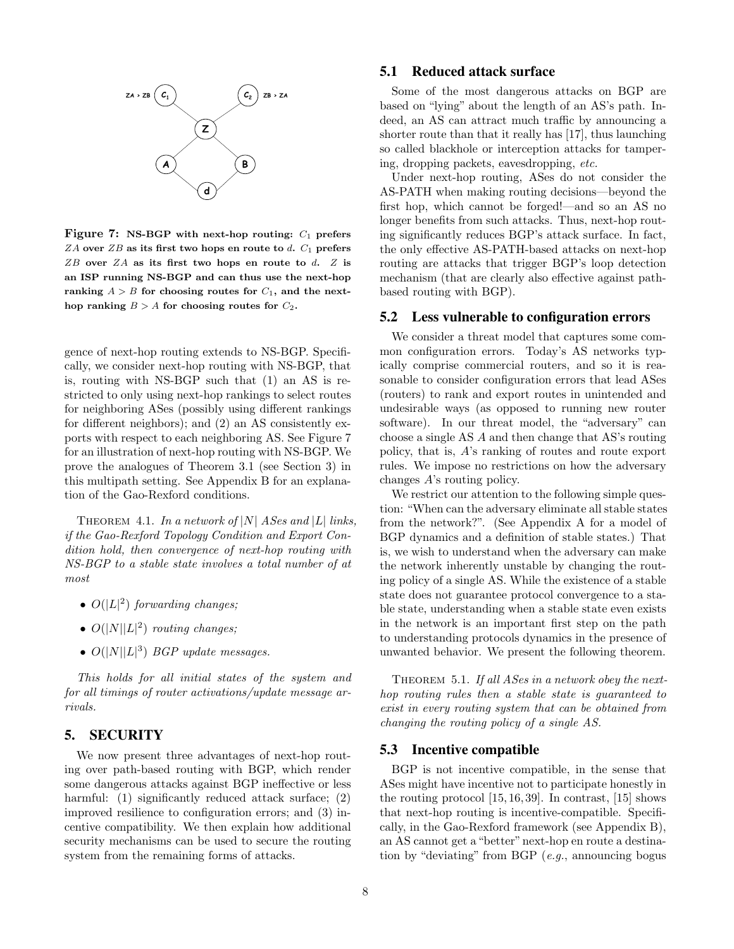

Figure 7: NS-BGP with next-hop routing:  $C_1$  prefers  $ZA$  over  $ZB$  as its first two hops en route to d.  $C_1$  prefers  $ZB$  over  $ZA$  as its first two hops en route to  $d$ .  $Z$  is an ISP running NS-BGP and can thus use the next-hop ranking  $A > B$  for choosing routes for  $C_1$ , and the nexthop ranking  $B > A$  for choosing routes for  $C_2$ .

gence of next-hop routing extends to NS-BGP. Specifically, we consider next-hop routing with NS-BGP, that is, routing with NS-BGP such that (1) an AS is restricted to only using next-hop rankings to select routes for neighboring ASes (possibly using different rankings for different neighbors); and (2) an AS consistently exports with respect to each neighboring AS. See Figure 7 for an illustration of next-hop routing with NS-BGP. We prove the analogues of Theorem 3.1 (see Section 3) in this multipath setting. See Appendix B for an explanation of the Gao-Rexford conditions.

THEOREM 4.1. In a network of  $|N|$  ASes and  $|L|$  links, if the Gao-Rexford Topology Condition and Export Condition hold, then convergence of next-hop routing with NS-BGP to a stable state involves a total number of at most

- $O(|L|^2)$  forwarding changes;
- $O(|N||L|^2)$  routing changes;
- $O(|N||L|^3)$  BGP update messages.

This holds for all initial states of the system and for all timings of router activations/update message arrivals.

### 5. SECURITY

We now present three advantages of next-hop routing over path-based routing with BGP, which render some dangerous attacks against BGP ineffective or less harmful: (1) significantly reduced attack surface; (2) improved resilience to configuration errors; and (3) incentive compatibility. We then explain how additional security mechanisms can be used to secure the routing system from the remaining forms of attacks.

## 5.1 Reduced attack surface

Some of the most dangerous attacks on BGP are based on "lying" about the length of an AS's path. Indeed, an AS can attract much traffic by announcing a shorter route than that it really has [17], thus launching so called blackhole or interception attacks for tampering, dropping packets, eavesdropping, etc.

Under next-hop routing, ASes do not consider the AS-PATH when making routing decisions—beyond the first hop, which cannot be forged!—and so an AS no longer benefits from such attacks. Thus, next-hop routing significantly reduces BGP's attack surface. In fact, the only effective AS-PATH-based attacks on next-hop routing are attacks that trigger BGP's loop detection mechanism (that are clearly also effective against pathbased routing with BGP).

# 5.2 Less vulnerable to configuration errors

We consider a threat model that captures some common configuration errors. Today's AS networks typically comprise commercial routers, and so it is reasonable to consider configuration errors that lead ASes (routers) to rank and export routes in unintended and undesirable ways (as opposed to running new router software). In our threat model, the "adversary" can choose a single AS A and then change that AS's routing policy, that is, A's ranking of routes and route export rules. We impose no restrictions on how the adversary changes A's routing policy.

We restrict our attention to the following simple question: "When can the adversary eliminate all stable states from the network?". (See Appendix A for a model of BGP dynamics and a definition of stable states.) That is, we wish to understand when the adversary can make the network inherently unstable by changing the routing policy of a single AS. While the existence of a stable state does not guarantee protocol convergence to a stable state, understanding when a stable state even exists in the network is an important first step on the path to understanding protocols dynamics in the presence of unwanted behavior. We present the following theorem.

THEOREM 5.1. If all ASes in a network obey the nexthop routing rules then a stable state is guaranteed to exist in every routing system that can be obtained from changing the routing policy of a single AS.

# 5.3 Incentive compatible

BGP is not incentive compatible, in the sense that ASes might have incentive not to participate honestly in the routing protocol [15, 16, 39]. In contrast, [15] shows that next-hop routing is incentive-compatible. Specifically, in the Gao-Rexford framework (see Appendix B), an AS cannot get a "better" next-hop en route a destination by "deviating" from BGP (e.g., announcing bogus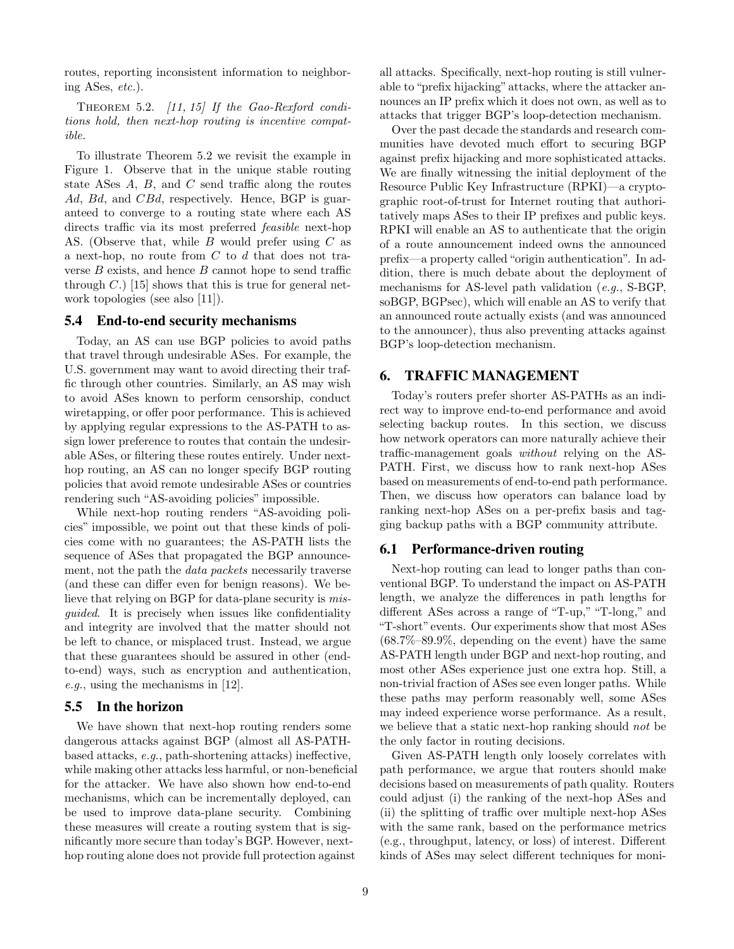routes, reporting inconsistent information to neighboring ASes, etc.).

THEOREM 5.2. [11, 15] If the Gao-Rexford conditions hold, then next-hop routing is incentive compatible.

To illustrate Theorem 5.2 we revisit the example in Figure 1. Observe that in the unique stable routing state ASes  $A$ ,  $B$ , and  $C$  send traffic along the routes Ad, Bd, and CBd, respectively. Hence, BGP is guaranteed to converge to a routing state where each AS directs traffic via its most preferred feasible next-hop AS. (Observe that, while B would prefer using C as a next-hop, no route from  $C$  to  $d$  that does not traverse  $B$  exists, and hence  $B$  cannot hope to send traffic through  $C$ .) [15] shows that this is true for general network topologies (see also [11]).

#### 5.4 End-to-end security mechanisms

Today, an AS can use BGP policies to avoid paths that travel through undesirable ASes. For example, the U.S. government may want to avoid directing their traffic through other countries. Similarly, an AS may wish to avoid ASes known to perform censorship, conduct wiretapping, or offer poor performance. This is achieved by applying regular expressions to the AS-PATH to assign lower preference to routes that contain the undesirable ASes, or filtering these routes entirely. Under nexthop routing, an AS can no longer specify BGP routing policies that avoid remote undesirable ASes or countries rendering such "AS-avoiding policies" impossible.

While next-hop routing renders "AS-avoiding policies" impossible, we point out that these kinds of policies come with no guarantees; the AS-PATH lists the sequence of ASes that propagated the BGP announcement, not the path the data packets necessarily traverse (and these can differ even for benign reasons). We believe that relying on BGP for data-plane security is misguided. It is precisely when issues like confidentiality and integrity are involved that the matter should not be left to chance, or misplaced trust. Instead, we argue that these guarantees should be assured in other (endto-end) ways, such as encryption and authentication, e.g., using the mechanisms in [12].

#### 5.5 In the horizon

We have shown that next-hop routing renders some dangerous attacks against BGP (almost all AS-PATHbased attacks, e.g., path-shortening attacks) ineffective, while making other attacks less harmful, or non-beneficial for the attacker. We have also shown how end-to-end mechanisms, which can be incrementally deployed, can be used to improve data-plane security. Combining these measures will create a routing system that is significantly more secure than today's BGP. However, nexthop routing alone does not provide full protection against

all attacks. Specifically, next-hop routing is still vulnerable to "prefix hijacking" attacks, where the attacker announces an IP prefix which it does not own, as well as to attacks that trigger BGP's loop-detection mechanism.

Over the past decade the standards and research communities have devoted much effort to securing BGP against prefix hijacking and more sophisticated attacks. We are finally witnessing the initial deployment of the Resource Public Key Infrastructure (RPKI)—a cryptographic root-of-trust for Internet routing that authoritatively maps ASes to their IP prefixes and public keys. RPKI will enable an AS to authenticate that the origin of a route announcement indeed owns the announced prefix—a property called "origin authentication". In addition, there is much debate about the deployment of mechanisms for AS-level path validation (e.g., S-BGP, soBGP, BGPsec), which will enable an AS to verify that an announced route actually exists (and was announced to the announcer), thus also preventing attacks against BGP's loop-detection mechanism.

# 6. TRAFFIC MANAGEMENT

Today's routers prefer shorter AS-PATHs as an indirect way to improve end-to-end performance and avoid selecting backup routes. In this section, we discuss how network operators can more naturally achieve their traffic-management goals without relying on the AS-PATH. First, we discuss how to rank next-hop ASes based on measurements of end-to-end path performance. Then, we discuss how operators can balance load by ranking next-hop ASes on a per-prefix basis and tagging backup paths with a BGP community attribute.

#### 6.1 Performance-driven routing

Next-hop routing can lead to longer paths than conventional BGP. To understand the impact on AS-PATH length, we analyze the differences in path lengths for different ASes across a range of "T-up," "T-long," and "T-short"events. Our experiments show that most ASes  $(68.7\% - 89.9\%$ , depending on the event) have the same AS-PATH length under BGP and next-hop routing, and most other ASes experience just one extra hop. Still, a non-trivial fraction of ASes see even longer paths. While these paths may perform reasonably well, some ASes may indeed experience worse performance. As a result, we believe that a static next-hop ranking should *not* be the only factor in routing decisions.

Given AS-PATH length only loosely correlates with path performance, we argue that routers should make decisions based on measurements of path quality. Routers could adjust (i) the ranking of the next-hop ASes and (ii) the splitting of traffic over multiple next-hop ASes with the same rank, based on the performance metrics (e.g., throughput, latency, or loss) of interest. Different kinds of ASes may select different techniques for moni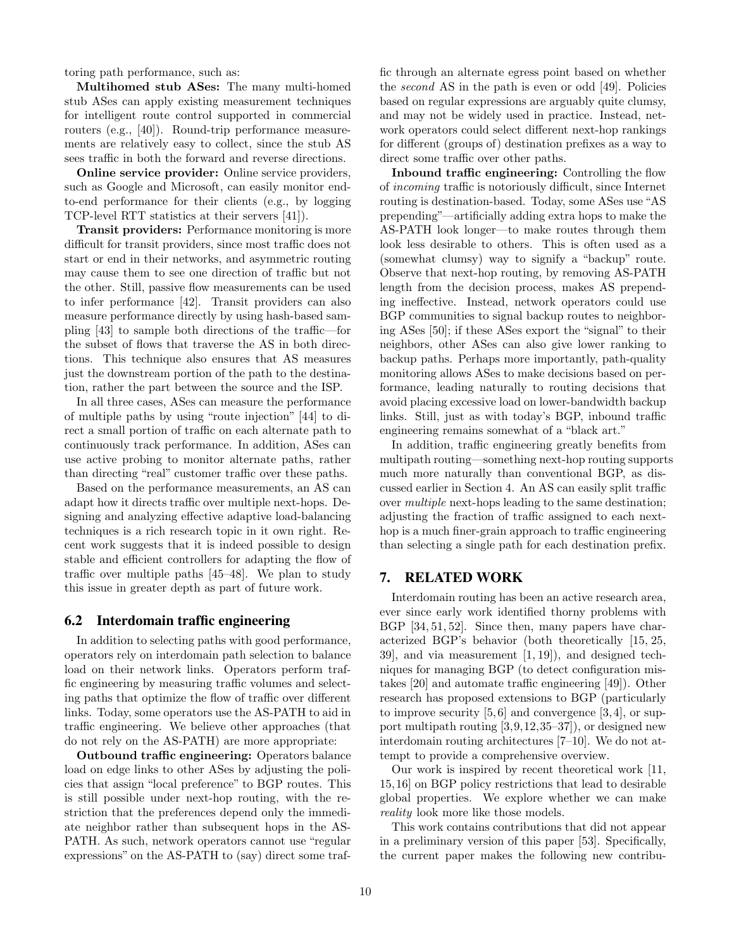toring path performance, such as:

Multihomed stub ASes: The many multi-homed stub ASes can apply existing measurement techniques for intelligent route control supported in commercial routers (e.g., [40]). Round-trip performance measurements are relatively easy to collect, since the stub AS sees traffic in both the forward and reverse directions.

Online service provider: Online service providers, such as Google and Microsoft, can easily monitor endto-end performance for their clients (e.g., by logging TCP-level RTT statistics at their servers [41]).

Transit providers: Performance monitoring is more difficult for transit providers, since most traffic does not start or end in their networks, and asymmetric routing may cause them to see one direction of traffic but not the other. Still, passive flow measurements can be used to infer performance [42]. Transit providers can also measure performance directly by using hash-based sampling [43] to sample both directions of the traffic—for the subset of flows that traverse the AS in both directions. This technique also ensures that AS measures just the downstream portion of the path to the destination, rather the part between the source and the ISP.

In all three cases, ASes can measure the performance of multiple paths by using "route injection" [44] to direct a small portion of traffic on each alternate path to continuously track performance. In addition, ASes can use active probing to monitor alternate paths, rather than directing "real" customer traffic over these paths.

Based on the performance measurements, an AS can adapt how it directs traffic over multiple next-hops. Designing and analyzing effective adaptive load-balancing techniques is a rich research topic in it own right. Recent work suggests that it is indeed possible to design stable and efficient controllers for adapting the flow of traffic over multiple paths [45–48]. We plan to study this issue in greater depth as part of future work.

#### 6.2 Interdomain traffic engineering

In addition to selecting paths with good performance, operators rely on interdomain path selection to balance load on their network links. Operators perform traffic engineering by measuring traffic volumes and selecting paths that optimize the flow of traffic over different links. Today, some operators use the AS-PATH to aid in traffic engineering. We believe other approaches (that do not rely on the AS-PATH) are more appropriate:

Outbound traffic engineering: Operators balance load on edge links to other ASes by adjusting the policies that assign "local preference" to BGP routes. This is still possible under next-hop routing, with the restriction that the preferences depend only the immediate neighbor rather than subsequent hops in the AS-PATH. As such, network operators cannot use "regular expressions" on the AS-PATH to (say) direct some traffic through an alternate egress point based on whether the second AS in the path is even or odd [49]. Policies based on regular expressions are arguably quite clumsy, and may not be widely used in practice. Instead, network operators could select different next-hop rankings for different (groups of) destination prefixes as a way to direct some traffic over other paths.

Inbound traffic engineering: Controlling the flow of incoming traffic is notoriously difficult, since Internet routing is destination-based. Today, some ASes use "AS prepending"—artificially adding extra hops to make the AS-PATH look longer—to make routes through them look less desirable to others. This is often used as a (somewhat clumsy) way to signify a "backup" route. Observe that next-hop routing, by removing AS-PATH length from the decision process, makes AS prepending ineffective. Instead, network operators could use BGP communities to signal backup routes to neighboring ASes [50]; if these ASes export the "signal" to their neighbors, other ASes can also give lower ranking to backup paths. Perhaps more importantly, path-quality monitoring allows ASes to make decisions based on performance, leading naturally to routing decisions that avoid placing excessive load on lower-bandwidth backup links. Still, just as with today's BGP, inbound traffic engineering remains somewhat of a "black art."

In addition, traffic engineering greatly benefits from multipath routing—something next-hop routing supports much more naturally than conventional BGP, as discussed earlier in Section 4. An AS can easily split traffic over multiple next-hops leading to the same destination; adjusting the fraction of traffic assigned to each nexthop is a much finer-grain approach to traffic engineering than selecting a single path for each destination prefix.

## 7. RELATED WORK

Interdomain routing has been an active research area, ever since early work identified thorny problems with BGP [34, 51, 52]. Since then, many papers have characterized BGP's behavior (both theoretically [15, 25, 39], and via measurement [1, 19]), and designed techniques for managing BGP (to detect configuration mistakes [20] and automate traffic engineering [49]). Other research has proposed extensions to BGP (particularly to improve security  $[5, 6]$  and convergence  $[3, 4]$ , or support multipath routing [3,9,12,35–37]), or designed new interdomain routing architectures [7–10]. We do not attempt to provide a comprehensive overview.

Our work is inspired by recent theoretical work [11, 15,16] on BGP policy restrictions that lead to desirable global properties. We explore whether we can make reality look more like those models.

This work contains contributions that did not appear in a preliminary version of this paper [53]. Specifically, the current paper makes the following new contribu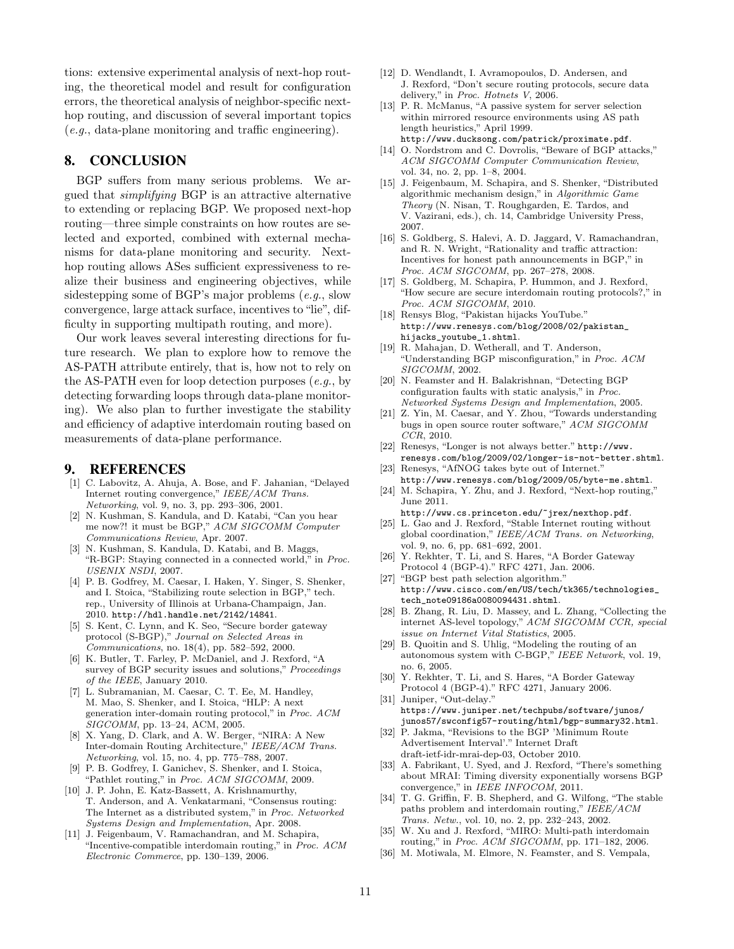tions: extensive experimental analysis of next-hop routing, the theoretical model and result for configuration errors, the theoretical analysis of neighbor-specific nexthop routing, and discussion of several important topics (e.g., data-plane monitoring and traffic engineering).

## 8. CONCLUSION

BGP suffers from many serious problems. We argued that simplifying BGP is an attractive alternative to extending or replacing BGP. We proposed next-hop routing—three simple constraints on how routes are selected and exported, combined with external mechanisms for data-plane monitoring and security. Nexthop routing allows ASes sufficient expressiveness to realize their business and engineering objectives, while sidestepping some of BGP's major problems (e.g., slow convergence, large attack surface, incentives to "lie", difficulty in supporting multipath routing, and more).

Our work leaves several interesting directions for future research. We plan to explore how to remove the AS-PATH attribute entirely, that is, how not to rely on the AS-PATH even for loop detection purposes  $(e.g., b$ detecting forwarding loops through data-plane monitoring). We also plan to further investigate the stability and efficiency of adaptive interdomain routing based on measurements of data-plane performance.

## 9. REFERENCES

- [1] C. Labovitz, A. Ahuja, A. Bose, and F. Jahanian, "Delayed Internet routing convergence," IEEE/ACM Trans. Networking, vol. 9, no. 3, pp. 293–306, 2001.
- [2] N. Kushman, S. Kandula, and D. Katabi, "Can you hear me now?! it must be BGP," ACM SIGCOMM Computer Communications Review, Apr. 2007.
- [3] N. Kushman, S. Kandula, D. Katabi, and B. Maggs, "R-BGP: Staying connected in a connected world," in Proc. USENIX NSDI, 2007.
- [4] P. B. Godfrey, M. Caesar, I. Haken, Y. Singer, S. Shenker, and I. Stoica, "Stabilizing route selection in BGP," tech. rep., University of Illinois at Urbana-Champaign, Jan. 2010. http://hdl.handle.net/2142/14841.
- [5] S. Kent, C. Lynn, and K. Seo, "Secure border gateway protocol (S-BGP)," Journal on Selected Areas in Communications, no. 18(4), pp. 582–592, 2000.
- [6] K. Butler, T. Farley, P. McDaniel, and J. Rexford, "A survey of BGP security issues and solutions," Proceedings of the IEEE, January 2010.
- L. Subramanian, M. Caesar, C. T. Ee, M. Handley, M. Mao, S. Shenker, and I. Stoica, "HLP: A next generation inter-domain routing protocol," in Proc. ACM SIGCOMM, pp. 13–24, ACM, 2005.
- [8] X. Yang, D. Clark, and A. W. Berger, "NIRA: A New Inter-domain Routing Architecture," IEEE/ACM Trans. Networking, vol. 15, no. 4, pp. 775–788, 2007.
- [9] P. B. Godfrey, I. Ganichev, S. Shenker, and I. Stoica, "Pathlet routing," in Proc. ACM SIGCOMM, 2009.
- [10] J. P. John, E. Katz-Bassett, A. Krishnamurthy, T. Anderson, and A. Venkatarmani, "Consensus routing: The Internet as a distributed system," in Proc. Networked Systems Design and Implementation, Apr. 2008.
- [11] J. Feigenbaum, V. Ramachandran, and M. Schapira, "Incentive-compatible interdomain routing," in Proc. ACM Electronic Commerce, pp. 130–139, 2006.
- [12] D. Wendlandt, I. Avramopoulos, D. Andersen, and J. Rexford, "Don't secure routing protocols, secure data delivery," in Proc. Hotnets V, 2006.
- [13] P. R. McManus, "A passive system for server selection within mirrored resource environments using AS path length heuristics," April 1999. http://www.ducksong.com/patrick/proximate.pdf.
- [14] O. Nordstrom and C. Dovrolis, "Beware of BGP attacks," ACM SIGCOMM Computer Communication Review, vol. 34, no. 2, pp. 1–8, 2004.
- [15] J. Feigenbaum, M. Schapira, and S. Shenker, "Distributed algorithmic mechanism design," in Algorithmic Game Theory (N. Nisan, T. Roughgarden, E. Tardos, and V. Vazirani, eds.), ch. 14, Cambridge University Press, 2007.
- [16] S. Goldberg, S. Halevi, A. D. Jaggard, V. Ramachandran, and R. N. Wright, "Rationality and traffic attraction: Incentives for honest path announcements in BGP," in Proc. ACM SIGCOMM, pp. 267–278, 2008.
- [17] S. Goldberg, M. Schapira, P. Hummon, and J. Rexford, "How secure are secure interdomain routing protocols?," in Proc. ACM SIGCOMM, 2010.
- [18] Rensys Blog, "Pakistan hijacks YouTube." http://www.renesys.com/blog/2008/02/pakistan\_ hijacks\_youtube\_1.shtml.
- [19] R. Mahajan, D. Wetherall, and T. Anderson, "Understanding BGP misconfiguration," in Proc. ACM SIGCOMM, 2002.
- [20] N. Feamster and H. Balakrishnan, "Detecting BGP configuration faults with static analysis," in Proc. Networked Systems Design and Implementation, 2005.
- [21] Z. Yin, M. Caesar, and Y. Zhou, "Towards understanding bugs in open source router software," ACM SIGCOMM CCR, 2010.
- [22] Renesys, "Longer is not always better." http://www. renesys.com/blog/2009/02/longer-is-not-better.shtml.
- [23] Renesys, "AfNOG takes byte out of Internet." http://www.renesys.com/blog/2009/05/byte-me.shtml.
- [24] M. Schapira, Y. Zhu, and J. Rexford, "Next-hop routing," June 2011.

http://www.cs.princeton.edu/~jrex/nexthop.pdf. [25] L. Gao and J. Rexford, "Stable Internet routing without

- global coordination," IEEE/ACM Trans. on Networking, vol. 9, no. 6, pp. 681–692, 2001.
- [26] Y. Rekhter, T. Li, and S. Hares, "A Border Gateway Protocol 4 (BGP-4)." RFC 4271, Jan. 2006.
- [27] "BGP best path selection algorithm." http://www.cisco.com/en/US/tech/tk365/technologies\_ tech\_note09186a0080094431.shtml.
- [28] B. Zhang, R. Liu, D. Massey, and L. Zhang, "Collecting the internet AS-level topology," ACM SIGCOMM CCR, special issue on Internet Vital Statistics, 2005.
- [29] B. Quoitin and S. Uhlig, "Modeling the routing of an autonomous system with C-BGP," IEEE Network, vol. 19, no. 6, 2005.
- [30] Y. Rekhter, T. Li, and S. Hares, "A Border Gateway Protocol 4 (BGP-4)." RFC 4271, January 2006.
- [31] Juniper, "Out-delay." https://www.juniper.net/techpubs/software/junos/ junos57/swconfig57-routing/html/bgp-summary32.html.
- [32] P. Jakma, "Revisions to the BGP 'Minimum Route Advertisement Interval'." Internet Draft draft-ietf-idr-mrai-dep-03, October 2010.
- [33] A. Fabrikant, U. Syed, and J. Rexford, "There's something about MRAI: Timing diversity exponentially worsens BGP convergence," in IEEE INFOCOM, 2011.
- [34] T. G. Griffin, F. B. Shepherd, and G. Wilfong, "The stable paths problem and interdomain routing," IEEE/ACM Trans. Netw., vol. 10, no. 2, pp. 232–243, 2002.
- [35] W. Xu and J. Rexford, "MIRO: Multi-path interdomain routing," in Proc. ACM SIGCOMM, pp. 171–182, 2006.
- [36] M. Motiwala, M. Elmore, N. Feamster, and S. Vempala,